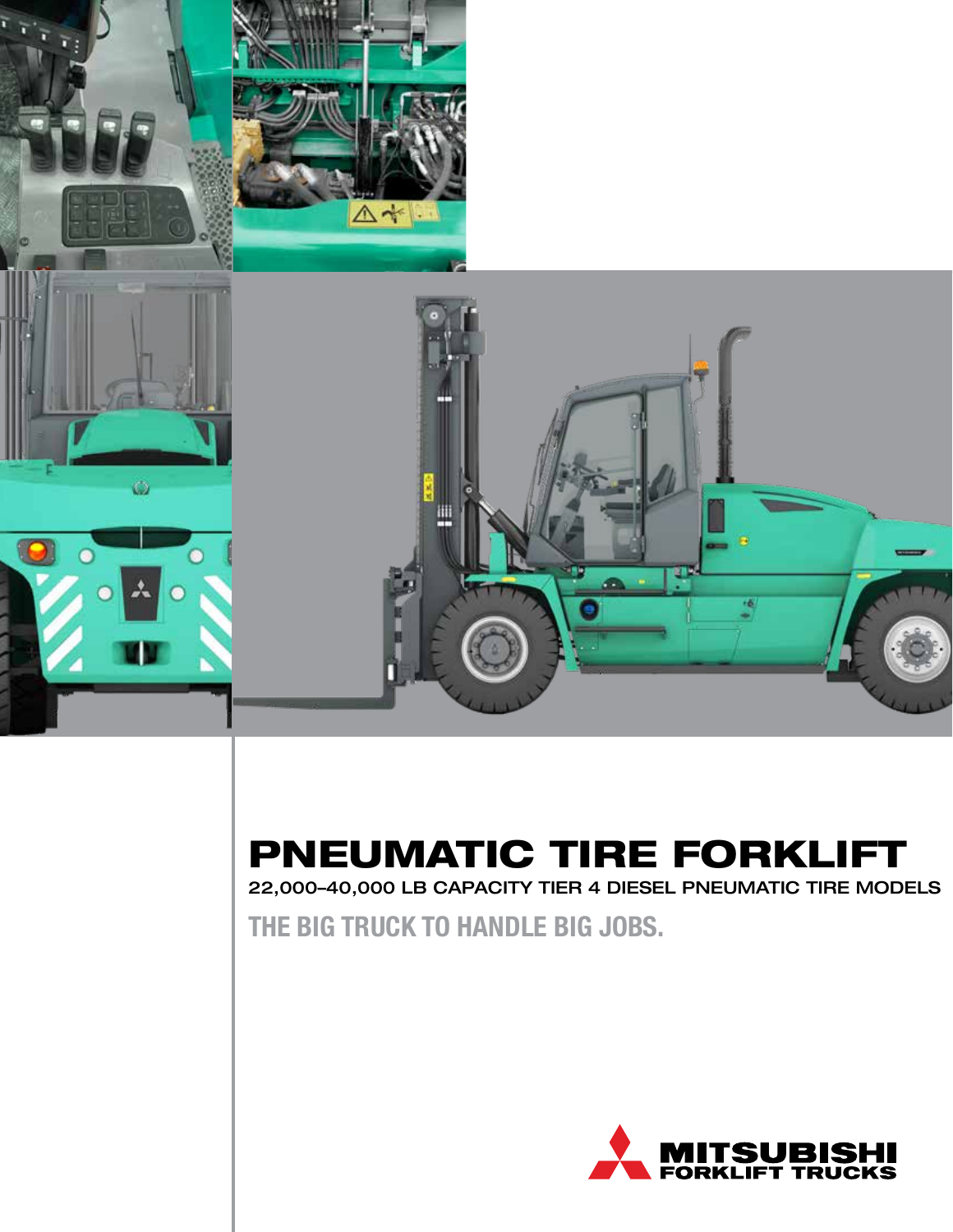

### PNEUMATIC TIRE FORKLIFT

22,000–40,000 LB CAPACITY TIER 4 DIESEL PNEUMATIC TIRE MODELS

**THE BIG TRUCK TO HANDLE BIG JOBS.**

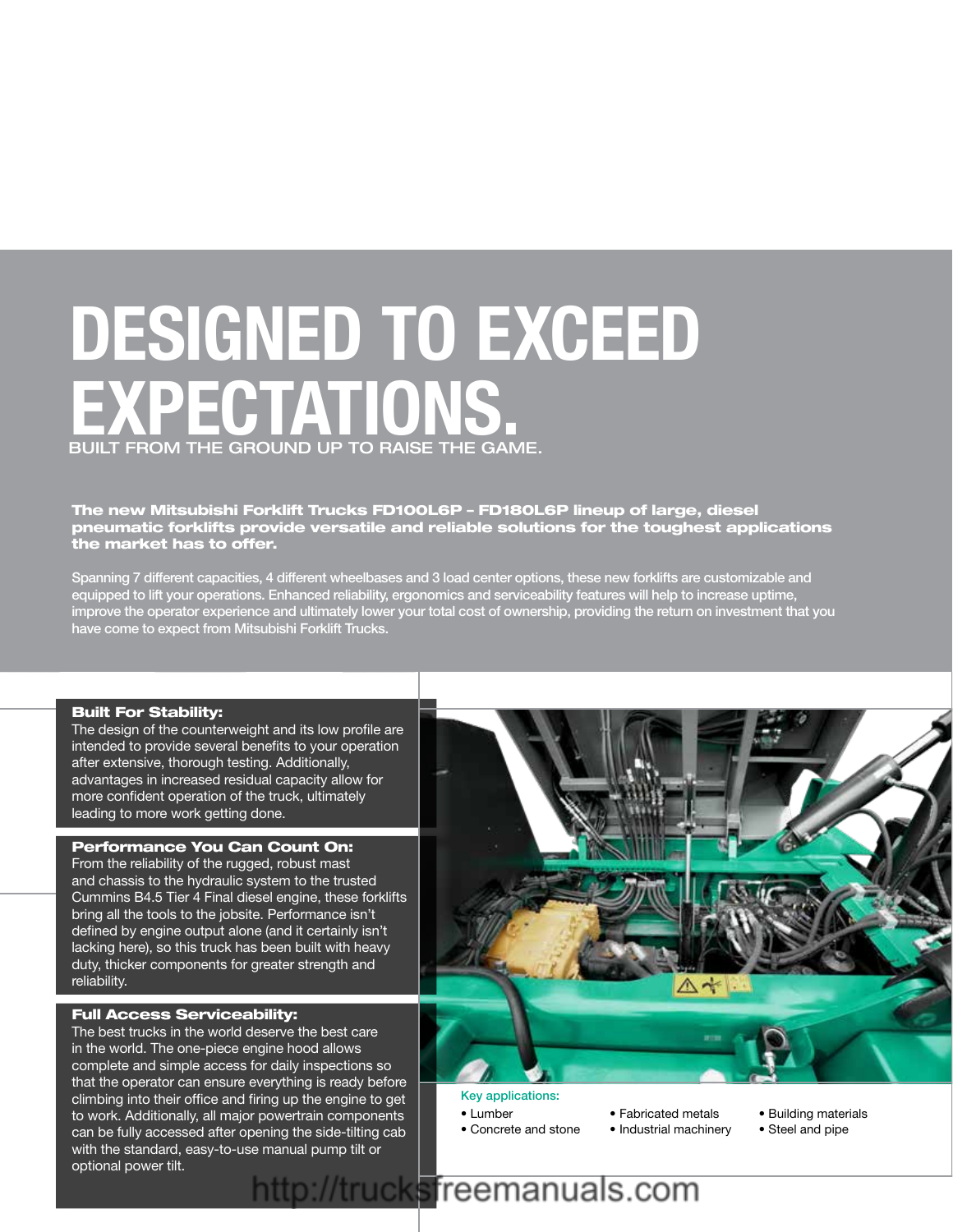### **DESIGNED TO EXCEED**  $\bullet$  Fuel-efficient engine  $\mathbf{r} \cdot \mathbf{r}$  , increased uptime increased uptime increased uptime increased uptime increased uptime in EXPECTATIONS. BUILT FROM THE GROUND UP TO RAISE THE GAME.

The new Mitsubishi Forklift Trucks FD100L6P - FD180L6P lineup of large, diesel that that the uncertainty is that the conditions of the tough of the toughest applications preumatic forklifts provide versatile and reliable solutions for the toughest applications the market has to offer.

Spanning 7 different capacities, 4 different wheelbases and 3 load center options, these new forklifts are customizable and opaining runners it capacities, 4 alliefent wheelbases and o load center options, these fiew forklifts are castomizable and<br>equipped to lift your operations. Enhanced reliability, ergonomics and serviceability features wil nos and scrivic admity realings will help to increase upline;<br>Interest of at an exclusive was idias the value of interesting and that they improve the operator experience and ultimately lower your total cost of ownership, providing the return on investment that you<br>have assess to awaset from Mitaubiable Facture Trustes have come to expect from Mitsubishi Forklift Trucks.

#### Built For Stability:

The design of the counterweight and its low profile are intended to provide several benefits to your operation after extensive, thorough testing. Additionally, advantages in increased residual capacity allow for more confident operation of the truck, ultimately leading to more work getting done.

#### Performance You Can Count On:

From the reliability of the rugged, robust mast and chassis to the hydraulic system to the trusted Cummins B4.5 Tier 4 Final diesel engine, these forklifts bring all the tools to the jobsite. Performance isn't defined by engine output alone (and it certainly isn't lacking here), so this truck has been built with heavy duty, thicker components for greater strength and reliability.

#### Full Access Serviceability:

The best trucks in the world deserve the best care in the world. The one-piece engine hood allows complete and simple access for daily inspections so that the operator can ensure everything is ready before climbing into their office and firing up the engine to get to work. Additionally, all major powertrain components can be fully accessed after opening the side-tilting cab with the standard, easy-to-use manual pump tilt or optional power tilt.



#### Key applications:

- Lumber
- Concrete and stone
- Fabricated metals • Industrial machinery
- Building materials
- Steel and pipe

### http://trucksfreemanuals.com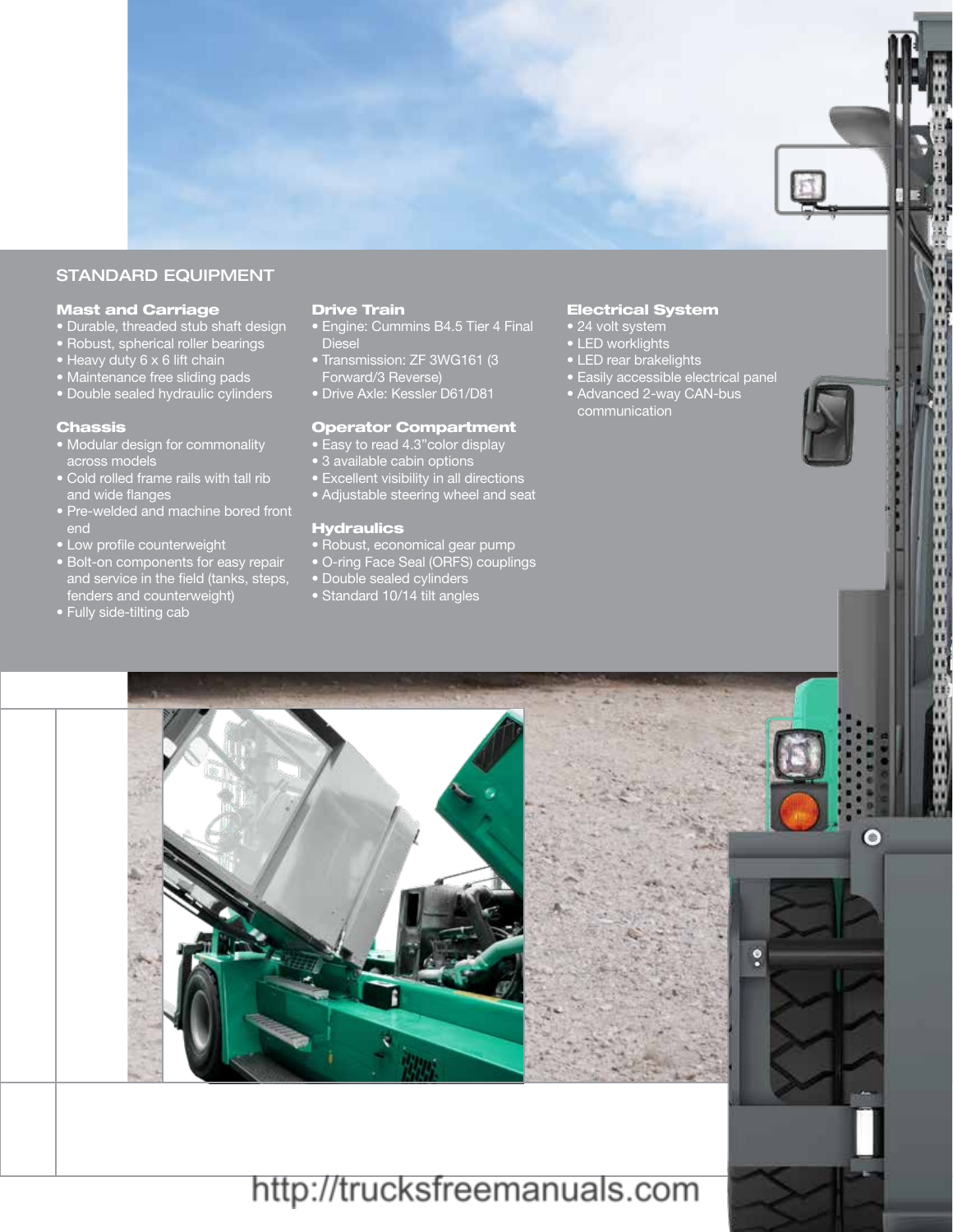

x x D H

11111

 $\bullet$ 

 $\ddot{\phantom{0}}$ 

#### STANDARD EQUIPMENT

#### Mast and Carriage

- Durable, threaded stub shaft design
- Robust, spherical roller bearings
- Heavy duty 6 x 6 lift chain
- Maintenance free sliding pads
- Double sealed hydraulic cylinders

#### Chassis

- Modular design for commonality across models
- Cold rolled frame rails with tall rib and wide flanges
- Pre-welded and machine bored front
- Low profile counterweight
- **Bolt-on components for easy repair** and service in the field (tanks, steps, fenders and counterweight)
- Fully side-tilting cab

#### Drive Train

- Engine: Cummins B4.5 Tier 4 Final Diesel
- Transmission: ZF 3WG161 (3 Forward/3 Reverse)
- Drive Axle: Kessler D61/D81

#### Operator Compartment

- Easy to read 4.3"color display
- 3 available cabin options
- Excellent visibility in all directions
- Adjustable steering wheel and seat

#### **Hydraulics**

- Robust, economical gear pump
- O-ring Face Seal (ORFS) couplings
- Double sealed cylinders
- Standard 10/14 tilt angles

#### Electrical System

- 24 volt system
- LED worklights
- LED rear brakelights
- Easily accessible electrical panel
- Advanced 2-way CAN-bus communication



### http://trucksfreemanuals.com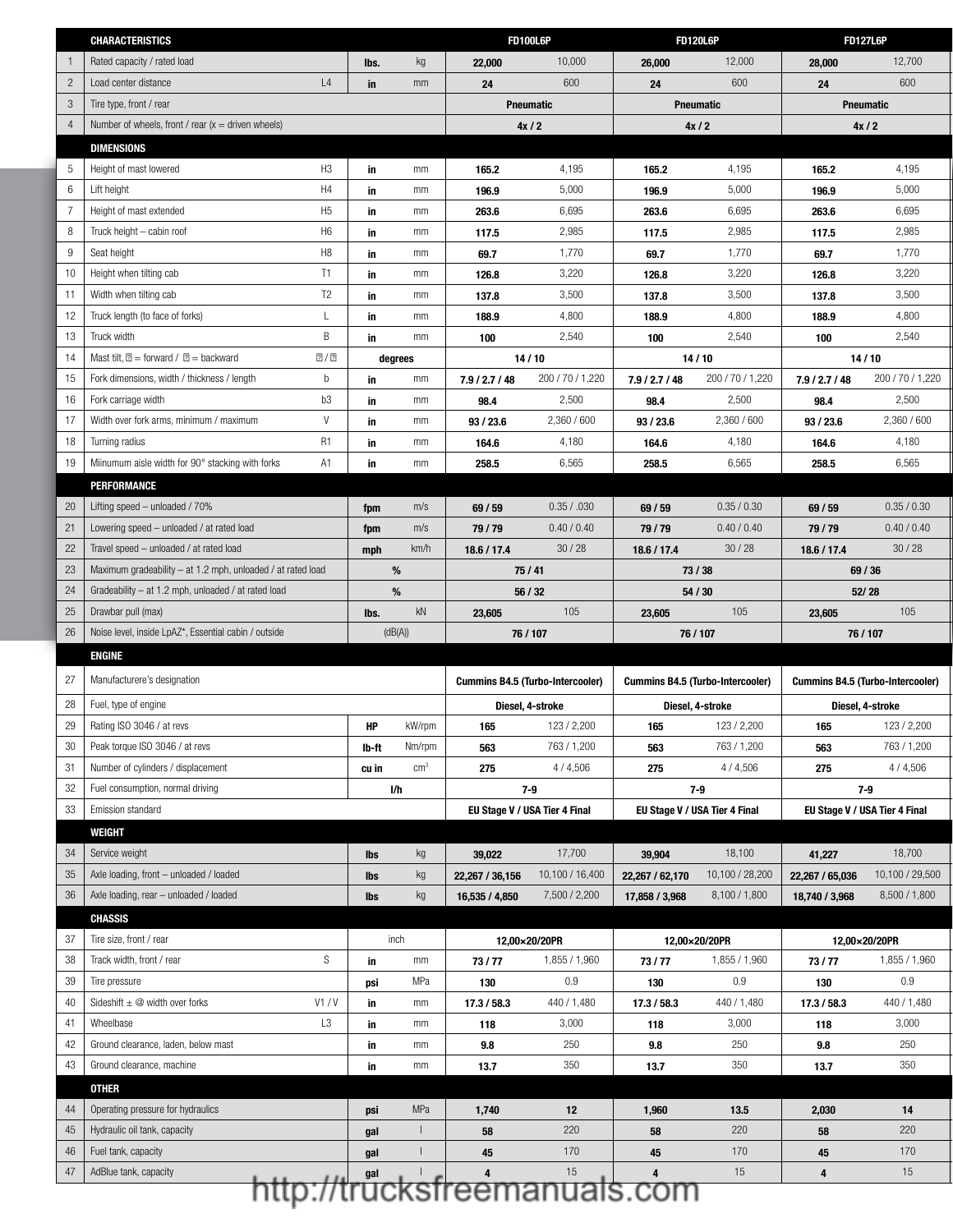|                 | <b>CHARACTERISTICS</b>                                                          |                |                 |               |                 | <b>FD100L6P</b>                    |                 | <b>FD120L6P</b>                         | <b>FD127L6P</b>                         |                  |
|-----------------|---------------------------------------------------------------------------------|----------------|-----------------|---------------|-----------------|------------------------------------|-----------------|-----------------------------------------|-----------------------------------------|------------------|
|                 | Rated capacity / rated load                                                     |                | lbs.            | kg            | 22,000          | 10,000                             | 26,000          | 12,000                                  | 28,000                                  | 12,700           |
| $\overline{2}$  | Load center distance                                                            | L4             | in              | mm            | 24              | 600                                | 24              | 600                                     | 24                                      | 600              |
| 3 <sup>5</sup>  | Tire type, front / rear                                                         |                |                 |               |                 | Pneumatic                          |                 | Pneumatic                               | Pneumatic                               |                  |
| $\overline{4}$  | Number of wheels, front / rear $(x =$ driven wheels)                            |                |                 |               |                 | 4x/2                               |                 | 4x/2                                    | 4x/2                                    |                  |
|                 | <b>DIMENSIONS</b>                                                               |                |                 |               |                 |                                    |                 |                                         |                                         |                  |
| 5               | Height of mast lowered                                                          | H <sub>3</sub> | in              | mm            | 165.2           | 4,195                              | 165.2           | 4,195                                   | 165.2                                   | 4,195            |
| $6\overline{6}$ | Lift height                                                                     | H4             | - in            | mm            | 196.9           | 5,000                              | 196.9           | 5,000                                   | 196.9                                   | 5,000            |
| $\overline{7}$  | Height of mast extended                                                         | H <sub>5</sub> | - in            | mm            | 263.6           | 6,695                              | 263.6           | 6,695                                   | 263.6                                   | 6,695            |
| 8               | Truck height - cabin roof                                                       | H <sub>6</sub> | - in            | mm            | 117.5           | 2,985                              | 117.5           | 2,985                                   | 117.5                                   | 2,985            |
| 9               | Seat height                                                                     | H <sub>8</sub> | - in            | mm            | 69.7            | 1,770                              | 69.7            | 1,770                                   | 69.7                                    | 1,770            |
|                 | 10   Height when tilting cab                                                    | T1             | in              | mm            | 126.8           | 3,220                              | 126.8           | 3,220                                   | 126.8                                   | 3,220            |
| 11              | Width when tilting cab                                                          | T2             | -in             | mm            | 137.8           | 3,500                              | 137.8           | 3,500                                   | 137.8                                   | 3,500            |
|                 | 12   Truck length (to face of forks)                                            | $\mathsf{L}$   | in              | mm            | 188.9           | 4,800                              | 188.9           | 4,800                                   | 188.9                                   | 4,800            |
|                 | 13 Truck width                                                                  | B              | in              | mm            | 100             | 2,540                              | 100             | 2,540                                   | 100                                     | 2,540            |
|                 | 14   Mast tilt, = forward / = backward                                          | $\sqrt{2}$     |                 | degrees       |                 | 14/10                              |                 | 14/10                                   | 14/10                                   |                  |
|                 | 15   Fork dimensions, width / thickness / length                                | b              | in              | mm            | 7.9 / 2.7 / 48  | 200 / 70 / 1,220                   | 7.9 / 2.7 / 48  | 200 / 70 / 1,220                        | 7.9 / 2.7 / 48                          | 200 / 70 / 1,220 |
|                 | 16   Fork carriage width                                                        | b3             | in              | mm            | 98.4            | 2,500                              | 98.4            | 2,500                                   | 98.4                                    | 2,500            |
|                 | 17   Width over fork arms, minimum / maximum                                    | V              | in              | mm            | 93 / 23.6       | 2,360 / 600                        | 93 / 23.6       | 2,360 / 600                             | 93/23.6                                 | 2,360/600        |
|                 | 18 Turning radius                                                               | <b>R1</b>      | - in            | mm            | 164.6           | 4,180                              | 164.6           | 4,180                                   | 164.6                                   | 4,180            |
|                 | 19 Miinumum aisle width for 90° stacking with forks                             | A1             | in              | mm            | 258.5           | 6,565                              | 258.5           | 6,565                                   | 258.5                                   | 6,565            |
|                 | PERFORMANCE                                                                     |                |                 |               |                 |                                    |                 |                                         |                                         |                  |
|                 | 20   Lifting speed - unloaded / 70%                                             |                | fpm             | m/s           | 69/59           | 0.35 / .030                        | 69/59           | 0.35 / 0.30                             | 69/59                                   | 0.35 / 0.30      |
| 21              | Lowering speed - unloaded / at rated load                                       |                | fpm             | m/s           | 79/79           | 0.40 / 0.40                        | 79/79           | 0.40 / 0.40                             | 79/79                                   | 0.40 / 0.40      |
| $22\,$          | Travel speed - unloaded / at rated load                                         |                | mph             | km/h          | 18.6 / 17.4     | 30/28                              | 18.6 / 17.4     | 30/28                                   | 18.6 / 17.4                             | 30/28            |
|                 | 23   Maximum gradeability $-$ at 1.2 mph, unloaded / at rated load              |                | %               |               |                 | 75 / 41                            |                 | 73/38                                   | 69/36                                   |                  |
| $24\,$          |                                                                                 |                |                 |               |                 |                                    | 54/30           |                                         | 52/28                                   |                  |
|                 | Gradeability - at 1.2 mph, unloaded / at rated load                             |                | %               |               |                 | 56 / 32                            |                 |                                         |                                         |                  |
|                 |                                                                                 |                |                 | kN            |                 | 105                                |                 | 105                                     |                                         | 105              |
|                 | 25   Drawbar pull (max)<br>Noise level, inside LpAZ*, Essential cabin / outside |                | lbs.<br>(dB(A)) |               | 23,605          |                                    | 23,605          |                                         | 23,605                                  |                  |
| $26\,$          |                                                                                 |                |                 |               |                 | 76 / 107                           |                 | 76 / 107                                | 76 / 107                                |                  |
|                 | ENGINE                                                                          |                |                 |               |                 |                                    |                 |                                         |                                         |                  |
| 27              | Manufacturere's designation                                                     |                |                 |               |                 | Cummins B4.5 (Turbo-Intercooler)   |                 | <b>Cummins B4.5 (Turbo-Intercooler)</b> | <b>Cummins B4.5 (Turbo-Intercooler)</b> |                  |
| 28              | Fuel, type of engine                                                            |                |                 |               |                 | Diesel, 4-stroke                   |                 | Diesel, 4-stroke                        | Diesel, 4-stroke                        |                  |
| 29              | Rating ISO 3046 / at revs                                                       |                | <b>HP</b>       | kW/rpm        | 165             | 123 / 2,200                        | 165             | 123 / 2,200                             | 165                                     | 123 / 2,200      |
|                 | 30 Peak torque ISO 3046 / at revs                                               |                | lb-ft           | Nm/rpm        | 563             | 763 / 1,200                        | 563             | 763 / 1,200                             | 563                                     | 763 / 1,200      |
| 31              | Number of cylinders / displacement                                              |                | cu in           | $\text{cm}^3$ | 275             | 4 / 4,506                          | 275             | 4/4,506                                 | 275                                     | 4/4,506          |
| 32              | Fuel consumption, normal driving                                                |                | l/h             |               |                 | $7 - 9$                            |                 | $7 - 9$                                 | 7-9                                     |                  |
| $33\,$          | <b>Emission standard</b>                                                        |                |                 |               |                 | EU Stage V / USA Tier 4 Final      |                 | EU Stage V / USA Tier 4 Final           | EU Stage V / USA Tier 4 Final           |                  |
|                 | WEIGHT                                                                          |                |                 |               |                 |                                    |                 |                                         |                                         |                  |
| 34              | Service weight                                                                  |                | lbs             | kg            | 39,022          | 17,700                             | 39,904          | 18,100                                  | 41,227                                  | 18,700           |
| 35              | Axle loading, front - unloaded / loaded                                         |                | lbs             | kg            | 22,267 / 36,156 | 10,100 / 16,400                    | 22,267 / 62,170 | 10,100 / 28,200                         | 22,267 / 65,036                         | 10,100 / 29,500  |
|                 | 36   Axle loading, rear - unloaded / loaded                                     |                | lbs             | kq            | 16,535 / 4,850  | 7,500 / 2,200                      | 17,858 / 3,968  | 8,100 / 1,800                           | 18,740 / 3,968                          | 8,500 / 1,800    |
|                 |                                                                                 |                |                 |               |                 |                                    |                 |                                         |                                         |                  |
|                 | <b>CHASSIS</b>                                                                  |                |                 |               |                 |                                    |                 |                                         |                                         |                  |
| 37              | Tire size, front / rear                                                         |                | inch            |               |                 | 12,00×20/20PR                      |                 | 12,00×20/20PR                           | 12,00×20/20PR                           |                  |
| 38              | Track width, front / rear                                                       | S              | in              | mm            | 73 / 77         | 1,855 / 1,960                      | 73/77           | 1,855 / 1,960                           | 73/77                                   | 1,855 / 1,960    |
|                 | 39 Tire pressure                                                                |                | psi             | MPa           | 130             | 0.9                                | 130             | 0.9                                     | 130                                     | 0.9              |
| 40              | Sideshift $\pm \textcircled{2}$ width over forks                                | V1/V           | -in             | mm            | 17.3 / 58.3     | 440 / 1,480                        | 17.3 / 58.3     | 440 / 1,480                             | 17.3 / 58.3                             | 440 / 1,480      |
| 41              | Wheelbase                                                                       | L <sub>3</sub> | in              | mm            | 118             | 3,000                              | 118             | 3,000                                   | 118                                     | 3,000            |
| 42              | Ground clearance, laden, below mast                                             |                | in              | mm            | 9.8             | 250                                | 9.8             | 250                                     | 9.8                                     | 250              |
|                 | 43 Ground clearance, machine                                                    |                | in              | mm            | 13.7            | 350                                | 13.7            | 350                                     | 13.7                                    | 350              |
|                 | <b>OTHER</b>                                                                    |                |                 |               |                 |                                    |                 |                                         |                                         |                  |
| 44              | Operating pressure for hydraulics                                               |                | psi             | MPa           | 1,740           | 12                                 | 1,960           | 13.5                                    | 2,030                                   | 14               |
| 45              | Hydraulic oil tank, capacity                                                    |                | gal             |               | 58              | 220                                | 58              | 220                                     | 58                                      | 220              |
| 46              | Fuel tank, capacity                                                             |                | gal             |               | 45              | 170                                | 45              | 170                                     | 45                                      | 170              |
| 47              | AdBlue tank, capacity                                                           |                |                 |               |                 | 15<br>http://trucksfreemanuals.com |                 | 15                                      | $\overline{4}$                          | 15               |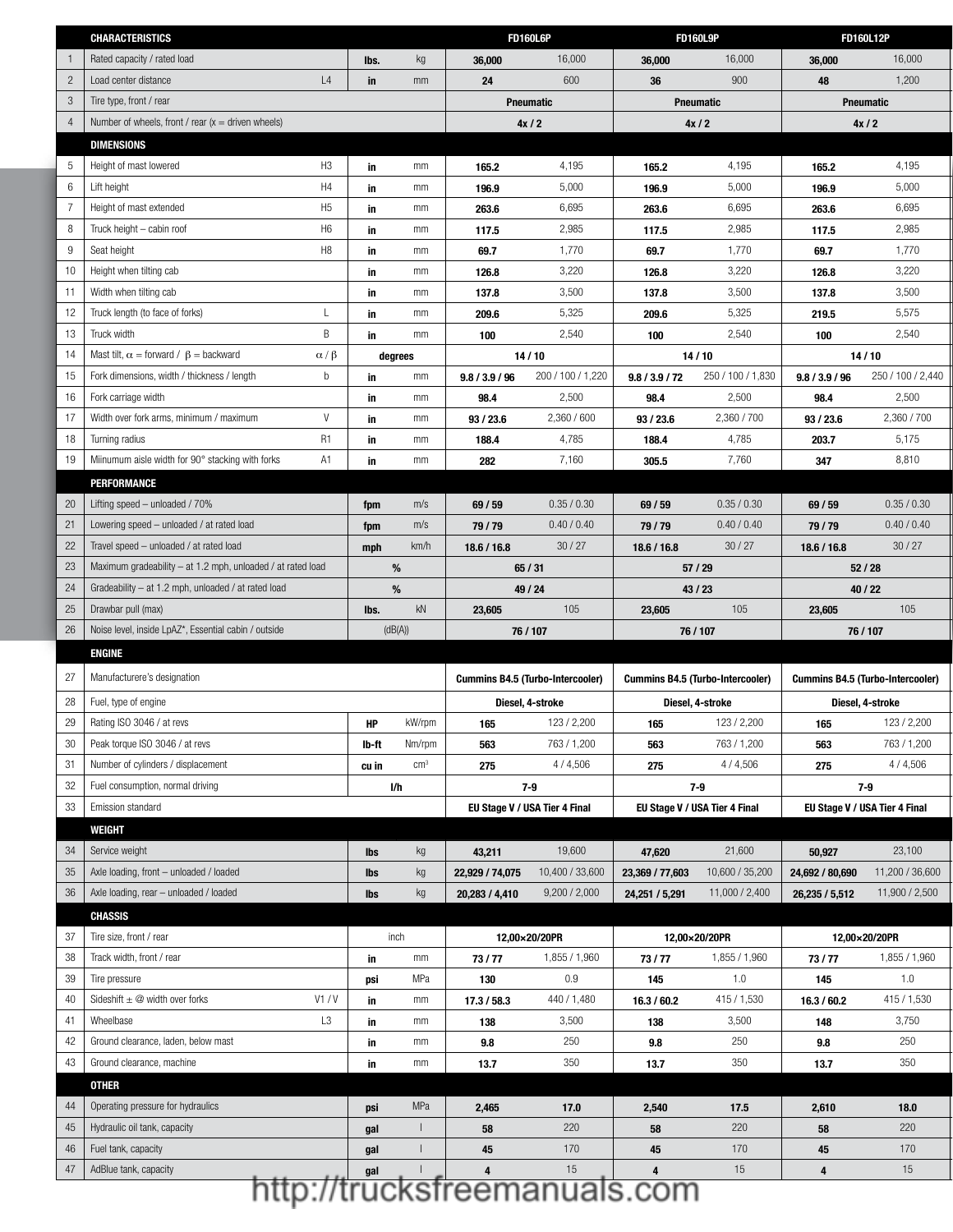| Rated capacity / rated load<br>16,000<br>16,000<br>16,000<br>kg<br>36,000<br>36,000<br>36,000<br>lbs.<br>L4<br>600<br>900<br>$\overline{c}$<br>48<br>1,200<br>Load center distance<br>24<br>36<br>in<br>mm<br>3<br>Tire type, front / rear<br>Pneumatic<br><b>Pneumatic</b><br>Pneumatic<br>Number of wheels, front / rear $(x =$ driven wheels)<br>4x/2<br>4x/2<br>4x/2<br>4<br><b>DIMENSIONS</b><br>H <sub>3</sub><br>5<br>Height of mast lowered<br>4,195<br>4,195<br>4,195<br>mm<br>in<br>165.2<br>165.2<br>165.2<br>H4<br>5,000<br>5,000<br>6<br>Lift height<br>5,000<br>mm<br>196.9<br>196.9<br>in<br>196.9<br>H <sub>5</sub><br>6,695<br>6,695<br>6,695<br>7<br>Height of mast extended<br>mm<br>in<br>263.6<br>263.6<br>263.6<br>H <sub>6</sub><br>2,985<br>2,985<br>2,985<br>8<br>Truck height - cabin roof<br>mm<br>in<br>117.5<br>117.5<br>117.5<br>H <sub>8</sub><br>9<br>Seat height<br>1,770<br>1,770<br>1,770<br>mm<br>69.7<br>69.7<br>in<br>69.7<br>3,220<br>10<br>Height when tilting cab<br>3,220<br>3,220<br>mm<br>126.8<br>126.8<br>126.8<br>in<br>3,500<br>3,500<br>3,500<br>11<br>Width when tilting cab<br>in<br>mm<br>137.8<br>137.8<br>137.8<br>5,325<br>5,325<br>5,575<br>12<br>Truck length (to face of forks)<br>L<br>mm<br>209.6<br>209.6<br>219.5<br>in<br>B<br>2,540<br>2,540<br>13<br>Truck width<br>2,540<br>mm<br>100<br>100<br>in<br>100<br>14<br>Mast tilt, $\alpha$ = forward / $\beta$ = backward<br>$\alpha/\beta$<br>14/10<br>14/10<br>14/10<br>degrees<br>250 / 100 / 2,440<br>15<br>Fork dimensions, width / thickness / length<br>b<br>200 / 100 / 1,220<br>250 / 100 / 1,830<br>in<br>mm<br>9.8 / 3.9 / 96<br>9.8 / 3.9 / 72<br>9.8 / 3.9 / 96<br>2,500<br>2,500<br>2,500<br>16<br>Fork carriage width<br>mm<br>98.4<br>in<br>98.4<br>98.4<br>V<br>2,360 / 600<br>2,360 / 700<br>17<br>Width over fork arms, minimum / maximum<br>2,360 / 700<br>mm<br>93 / 23.6<br>93 / 23.6<br>93 / 23.6<br>in<br>R <sub>1</sub><br>4,785<br>18<br>Turning radius<br>4,785<br>5,175<br>mm<br>188.4<br>188.4<br>203.7<br>in<br>A1<br>7,760<br>Miinumum aisle width for 90° stacking with forks<br>7,160<br>8,810<br>19<br>mm<br>in<br>282<br>305.5<br>347<br>PERFORMANCE<br>Lifting speed - unloaded / 70%<br>0.35 / 0.30<br>20<br>0.35 / 0.30<br>0.35 / 0.30<br>m/s<br>69 / 59<br>69 / 59<br>69 / 59<br>fpm<br>0.40 / 0.40<br>0.40 / 0.40<br>0.40 / 0.40<br>21<br>Lowering speed - unloaded / at rated load<br>m/s<br>79 / 79<br>79/79<br>79 / 79<br>fpm<br>22<br>30/27<br>30/27<br>Travel speed - unloaded / at rated load<br>30/27<br>km/h<br>18.6 / 16.8<br>18.6 / 16.8<br>18.6 / 16.8<br>mph<br>23<br>Maximum gradeability - at 1.2 mph, unloaded / at rated load<br>$\%$<br>57 / 29<br>65/31<br>52/28<br>24<br>Gradeability - at 1.2 mph, unloaded / at rated load<br>%<br>49 / 24<br>43/23<br>40 / 22<br>kN<br>105<br>105<br>105<br>25<br>Drawbar pull (max)<br>lbs.<br>23,605<br>23,605<br>23,605<br>Noise level, inside LpAZ*, Essential cabin / outside<br>26<br>(dB(A))<br>76 / 107<br>76 / 107<br>76 / 107<br><b>ENGINE</b><br>27<br>Manufacturere's designation<br><b>Cummins B4.5 (Turbo-Intercooler)</b><br><b>Cummins B4.5 (Turbo-Intercooler)</b><br><b>Cummins B4.5 (Turbo-Intercooler)</b><br>28<br>Fuel, type of engine<br>Diesel, 4-stroke<br>Diesel, 4-stroke<br>Diesel, 4-stroke<br>29<br>Rating ISO 3046 / at revs<br>123 / 2,200<br>123 / 2,200<br>123 / 2,200<br>kW/rpm<br>НP<br>165<br>165<br>165<br>Peak torque ISO 3046 / at revs<br>30<br>763 / 1,200<br>763 / 1,200<br>763 / 1,200<br>Nm/rpm<br>lb-ft<br>563<br>563<br>563<br>Number of cylinders / displacement<br>$\text{cm}^3$<br>4/4,506<br>4/4,506<br>31<br>4 / 4,506<br>275<br>275<br>275<br>cu in<br>Fuel consumption, normal driving<br>32<br>$7-9$<br>$7-9$<br>$7-9$<br>I/h<br>33<br>Emission standard<br>EU Stage V / USA Tier 4 Final<br>EU Stage V / USA Tier 4 Final<br>EU Stage V / USA Tier 4 Final<br>WEIGHT<br>19,600<br>23,100<br>34<br>Service weight<br>21,600<br>47,620<br>50,927<br>kg<br>43,211<br>lbs<br>35<br>Axle loading, front - unloaded / loaded<br>10,400 / 33,600<br>10,600 / 35,200<br>11,200 / 36,600<br>kg<br>22,929 / 74,075<br>23,369 / 77,603<br>24,692 / 80,690<br>lbs<br>36<br>Axle loading, rear - unloaded / loaded<br>9,200 / 2,000<br>kg<br>11,000 / 2,400<br>11,900 / 2,500<br>20,283 / 4,410<br>24,251 / 5,291<br>26,235 / 5,512<br>lbs<br><b>CHASSIS</b><br>37<br>Tire size, front / rear<br>inch<br>12,00×20/20PR<br>12,00×20/20PR<br>12,00×20/20PR<br>38<br>1,855 / 1,960<br>Track width, front / rear<br>1,855 / 1,960<br>1,855 / 1,960<br>mm<br>73/77<br>73/77<br>73/77<br>in<br>39<br>MPa<br>0.9<br>1.0<br>1.0<br>Tire pressure<br>130<br>145<br>145<br>psi<br>Sideshift $\pm \textcircled{2}$ width over forks<br>V1/V<br>440 / 1,480<br>415 / 1,530<br>415 / 1,530<br>40<br>mm<br>17.3 / 58.3<br>16.3 / 60.2<br>16.3 / 60.2<br>in<br>L3<br>3,500<br>3,500<br>3,750<br>41<br>Wheelbase<br>in<br>mm<br>138<br>148<br>138<br>250<br>250<br>250<br>42<br>Ground clearance, laden, below mast<br>9.8<br>mm<br>9.8<br>9.8<br>in<br>350<br>350<br>350<br>43<br>Ground clearance, machine<br>mm<br>13.7<br>13.7<br>in<br>13.7<br><b>OTHER</b><br>Operating pressure for hydraulics<br>MPa<br>17.0<br>2,540<br>44<br>2,465<br>17.5<br>2,610<br>18.0<br>psi<br>220<br>220<br>220<br>45<br>Hydraulic oil tank, capacity<br>$\mathbf{L}$<br>58<br>58<br>58<br>gal<br>Fuel tank, capacity<br>170<br>170<br>170<br>46<br>45<br>45<br>gal<br>45<br>AdBlue tank, capacity<br>15<br>47<br>15<br>15<br>4<br>http://trucksfreemanuals.com | <b>CHARACTERISTICS</b> |  |  | <b>FD160L6P</b> | <b>FD160L9P</b> | <b>FD160L12P</b> |
|------------------------------------------------------------------------------------------------------------------------------------------------------------------------------------------------------------------------------------------------------------------------------------------------------------------------------------------------------------------------------------------------------------------------------------------------------------------------------------------------------------------------------------------------------------------------------------------------------------------------------------------------------------------------------------------------------------------------------------------------------------------------------------------------------------------------------------------------------------------------------------------------------------------------------------------------------------------------------------------------------------------------------------------------------------------------------------------------------------------------------------------------------------------------------------------------------------------------------------------------------------------------------------------------------------------------------------------------------------------------------------------------------------------------------------------------------------------------------------------------------------------------------------------------------------------------------------------------------------------------------------------------------------------------------------------------------------------------------------------------------------------------------------------------------------------------------------------------------------------------------------------------------------------------------------------------------------------------------------------------------------------------------------------------------------------------------------------------------------------------------------------------------------------------------------------------------------------------------------------------------------------------------------------------------------------------------------------------------------------------------------------------------------------------------------------------------------------------------------------------------------------------------------------------------------------------------------------------------------------------------------------------------------------------------------------------------------------------------------------------------------------------------------------------------------------------------------------------------------------------------------------------------------------------------------------------------------------------------------------------------------------------------------------------------------------------------------------------------------------------------------------------------------------------------------------------------------------------------------------------------------------------------------------------------------------------------------------------------------------------------------------------------------------------------------------------------------------------------------------------------------------------------------------------------------------------------------------------------------------------------------------------------------------------------------------------------------------------------------------------------------------------------------------------------------------------------------------------------------------------------------------------------------------------------------------------------------------------------------------------------------------------------------------------------------------------------------------------------------------------------------------------------------------------------------------------------------------------------------------------------------------------------------------------------------------------------------------------------------------------------------------------------------------------------------------------------------------------------------------------------------------------------------------------------------------------------------------------------------------------------------------------------------------------------------------------------------------------------------------------------------------------------------------------------------------------------------------------------------------------------------------------------------------------------------------------------------------------------------------------------------------------------------------------------------------------------------------------------------------------------------------------------------------------------------------------------------------------------------------------------------------------------------------------------------------------------------------------------------------------------------------------------------------------------------------------------------------------------------------------------------------------------------------------------------------------------------------|------------------------|--|--|-----------------|-----------------|------------------|
|                                                                                                                                                                                                                                                                                                                                                                                                                                                                                                                                                                                                                                                                                                                                                                                                                                                                                                                                                                                                                                                                                                                                                                                                                                                                                                                                                                                                                                                                                                                                                                                                                                                                                                                                                                                                                                                                                                                                                                                                                                                                                                                                                                                                                                                                                                                                                                                                                                                                                                                                                                                                                                                                                                                                                                                                                                                                                                                                                                                                                                                                                                                                                                                                                                                                                                                                                                                                                                                                                                                                                                                                                                                                                                                                                                                                                                                                                                                                                                                                                                                                                                                                                                                                                                                                                                                                                                                                                                                                                                                                                                                                                                                                                                                                                                                                                                                                                                                                                                                                                                                                                                                                                                                                                                                                                                                                                                                                                                                                                                                                                                                          |                        |  |  |                 |                 |                  |
|                                                                                                                                                                                                                                                                                                                                                                                                                                                                                                                                                                                                                                                                                                                                                                                                                                                                                                                                                                                                                                                                                                                                                                                                                                                                                                                                                                                                                                                                                                                                                                                                                                                                                                                                                                                                                                                                                                                                                                                                                                                                                                                                                                                                                                                                                                                                                                                                                                                                                                                                                                                                                                                                                                                                                                                                                                                                                                                                                                                                                                                                                                                                                                                                                                                                                                                                                                                                                                                                                                                                                                                                                                                                                                                                                                                                                                                                                                                                                                                                                                                                                                                                                                                                                                                                                                                                                                                                                                                                                                                                                                                                                                                                                                                                                                                                                                                                                                                                                                                                                                                                                                                                                                                                                                                                                                                                                                                                                                                                                                                                                                                          |                        |  |  |                 |                 |                  |
|                                                                                                                                                                                                                                                                                                                                                                                                                                                                                                                                                                                                                                                                                                                                                                                                                                                                                                                                                                                                                                                                                                                                                                                                                                                                                                                                                                                                                                                                                                                                                                                                                                                                                                                                                                                                                                                                                                                                                                                                                                                                                                                                                                                                                                                                                                                                                                                                                                                                                                                                                                                                                                                                                                                                                                                                                                                                                                                                                                                                                                                                                                                                                                                                                                                                                                                                                                                                                                                                                                                                                                                                                                                                                                                                                                                                                                                                                                                                                                                                                                                                                                                                                                                                                                                                                                                                                                                                                                                                                                                                                                                                                                                                                                                                                                                                                                                                                                                                                                                                                                                                                                                                                                                                                                                                                                                                                                                                                                                                                                                                                                                          |                        |  |  |                 |                 |                  |
|                                                                                                                                                                                                                                                                                                                                                                                                                                                                                                                                                                                                                                                                                                                                                                                                                                                                                                                                                                                                                                                                                                                                                                                                                                                                                                                                                                                                                                                                                                                                                                                                                                                                                                                                                                                                                                                                                                                                                                                                                                                                                                                                                                                                                                                                                                                                                                                                                                                                                                                                                                                                                                                                                                                                                                                                                                                                                                                                                                                                                                                                                                                                                                                                                                                                                                                                                                                                                                                                                                                                                                                                                                                                                                                                                                                                                                                                                                                                                                                                                                                                                                                                                                                                                                                                                                                                                                                                                                                                                                                                                                                                                                                                                                                                                                                                                                                                                                                                                                                                                                                                                                                                                                                                                                                                                                                                                                                                                                                                                                                                                                                          |                        |  |  |                 |                 |                  |
|                                                                                                                                                                                                                                                                                                                                                                                                                                                                                                                                                                                                                                                                                                                                                                                                                                                                                                                                                                                                                                                                                                                                                                                                                                                                                                                                                                                                                                                                                                                                                                                                                                                                                                                                                                                                                                                                                                                                                                                                                                                                                                                                                                                                                                                                                                                                                                                                                                                                                                                                                                                                                                                                                                                                                                                                                                                                                                                                                                                                                                                                                                                                                                                                                                                                                                                                                                                                                                                                                                                                                                                                                                                                                                                                                                                                                                                                                                                                                                                                                                                                                                                                                                                                                                                                                                                                                                                                                                                                                                                                                                                                                                                                                                                                                                                                                                                                                                                                                                                                                                                                                                                                                                                                                                                                                                                                                                                                                                                                                                                                                                                          |                        |  |  |                 |                 |                  |
|                                                                                                                                                                                                                                                                                                                                                                                                                                                                                                                                                                                                                                                                                                                                                                                                                                                                                                                                                                                                                                                                                                                                                                                                                                                                                                                                                                                                                                                                                                                                                                                                                                                                                                                                                                                                                                                                                                                                                                                                                                                                                                                                                                                                                                                                                                                                                                                                                                                                                                                                                                                                                                                                                                                                                                                                                                                                                                                                                                                                                                                                                                                                                                                                                                                                                                                                                                                                                                                                                                                                                                                                                                                                                                                                                                                                                                                                                                                                                                                                                                                                                                                                                                                                                                                                                                                                                                                                                                                                                                                                                                                                                                                                                                                                                                                                                                                                                                                                                                                                                                                                                                                                                                                                                                                                                                                                                                                                                                                                                                                                                                                          |                        |  |  |                 |                 |                  |
|                                                                                                                                                                                                                                                                                                                                                                                                                                                                                                                                                                                                                                                                                                                                                                                                                                                                                                                                                                                                                                                                                                                                                                                                                                                                                                                                                                                                                                                                                                                                                                                                                                                                                                                                                                                                                                                                                                                                                                                                                                                                                                                                                                                                                                                                                                                                                                                                                                                                                                                                                                                                                                                                                                                                                                                                                                                                                                                                                                                                                                                                                                                                                                                                                                                                                                                                                                                                                                                                                                                                                                                                                                                                                                                                                                                                                                                                                                                                                                                                                                                                                                                                                                                                                                                                                                                                                                                                                                                                                                                                                                                                                                                                                                                                                                                                                                                                                                                                                                                                                                                                                                                                                                                                                                                                                                                                                                                                                                                                                                                                                                                          |                        |  |  |                 |                 |                  |
|                                                                                                                                                                                                                                                                                                                                                                                                                                                                                                                                                                                                                                                                                                                                                                                                                                                                                                                                                                                                                                                                                                                                                                                                                                                                                                                                                                                                                                                                                                                                                                                                                                                                                                                                                                                                                                                                                                                                                                                                                                                                                                                                                                                                                                                                                                                                                                                                                                                                                                                                                                                                                                                                                                                                                                                                                                                                                                                                                                                                                                                                                                                                                                                                                                                                                                                                                                                                                                                                                                                                                                                                                                                                                                                                                                                                                                                                                                                                                                                                                                                                                                                                                                                                                                                                                                                                                                                                                                                                                                                                                                                                                                                                                                                                                                                                                                                                                                                                                                                                                                                                                                                                                                                                                                                                                                                                                                                                                                                                                                                                                                                          |                        |  |  |                 |                 |                  |
|                                                                                                                                                                                                                                                                                                                                                                                                                                                                                                                                                                                                                                                                                                                                                                                                                                                                                                                                                                                                                                                                                                                                                                                                                                                                                                                                                                                                                                                                                                                                                                                                                                                                                                                                                                                                                                                                                                                                                                                                                                                                                                                                                                                                                                                                                                                                                                                                                                                                                                                                                                                                                                                                                                                                                                                                                                                                                                                                                                                                                                                                                                                                                                                                                                                                                                                                                                                                                                                                                                                                                                                                                                                                                                                                                                                                                                                                                                                                                                                                                                                                                                                                                                                                                                                                                                                                                                                                                                                                                                                                                                                                                                                                                                                                                                                                                                                                                                                                                                                                                                                                                                                                                                                                                                                                                                                                                                                                                                                                                                                                                                                          |                        |  |  |                 |                 |                  |
|                                                                                                                                                                                                                                                                                                                                                                                                                                                                                                                                                                                                                                                                                                                                                                                                                                                                                                                                                                                                                                                                                                                                                                                                                                                                                                                                                                                                                                                                                                                                                                                                                                                                                                                                                                                                                                                                                                                                                                                                                                                                                                                                                                                                                                                                                                                                                                                                                                                                                                                                                                                                                                                                                                                                                                                                                                                                                                                                                                                                                                                                                                                                                                                                                                                                                                                                                                                                                                                                                                                                                                                                                                                                                                                                                                                                                                                                                                                                                                                                                                                                                                                                                                                                                                                                                                                                                                                                                                                                                                                                                                                                                                                                                                                                                                                                                                                                                                                                                                                                                                                                                                                                                                                                                                                                                                                                                                                                                                                                                                                                                                                          |                        |  |  |                 |                 |                  |
|                                                                                                                                                                                                                                                                                                                                                                                                                                                                                                                                                                                                                                                                                                                                                                                                                                                                                                                                                                                                                                                                                                                                                                                                                                                                                                                                                                                                                                                                                                                                                                                                                                                                                                                                                                                                                                                                                                                                                                                                                                                                                                                                                                                                                                                                                                                                                                                                                                                                                                                                                                                                                                                                                                                                                                                                                                                                                                                                                                                                                                                                                                                                                                                                                                                                                                                                                                                                                                                                                                                                                                                                                                                                                                                                                                                                                                                                                                                                                                                                                                                                                                                                                                                                                                                                                                                                                                                                                                                                                                                                                                                                                                                                                                                                                                                                                                                                                                                                                                                                                                                                                                                                                                                                                                                                                                                                                                                                                                                                                                                                                                                          |                        |  |  |                 |                 |                  |
|                                                                                                                                                                                                                                                                                                                                                                                                                                                                                                                                                                                                                                                                                                                                                                                                                                                                                                                                                                                                                                                                                                                                                                                                                                                                                                                                                                                                                                                                                                                                                                                                                                                                                                                                                                                                                                                                                                                                                                                                                                                                                                                                                                                                                                                                                                                                                                                                                                                                                                                                                                                                                                                                                                                                                                                                                                                                                                                                                                                                                                                                                                                                                                                                                                                                                                                                                                                                                                                                                                                                                                                                                                                                                                                                                                                                                                                                                                                                                                                                                                                                                                                                                                                                                                                                                                                                                                                                                                                                                                                                                                                                                                                                                                                                                                                                                                                                                                                                                                                                                                                                                                                                                                                                                                                                                                                                                                                                                                                                                                                                                                                          |                        |  |  |                 |                 |                  |
|                                                                                                                                                                                                                                                                                                                                                                                                                                                                                                                                                                                                                                                                                                                                                                                                                                                                                                                                                                                                                                                                                                                                                                                                                                                                                                                                                                                                                                                                                                                                                                                                                                                                                                                                                                                                                                                                                                                                                                                                                                                                                                                                                                                                                                                                                                                                                                                                                                                                                                                                                                                                                                                                                                                                                                                                                                                                                                                                                                                                                                                                                                                                                                                                                                                                                                                                                                                                                                                                                                                                                                                                                                                                                                                                                                                                                                                                                                                                                                                                                                                                                                                                                                                                                                                                                                                                                                                                                                                                                                                                                                                                                                                                                                                                                                                                                                                                                                                                                                                                                                                                                                                                                                                                                                                                                                                                                                                                                                                                                                                                                                                          |                        |  |  |                 |                 |                  |
|                                                                                                                                                                                                                                                                                                                                                                                                                                                                                                                                                                                                                                                                                                                                                                                                                                                                                                                                                                                                                                                                                                                                                                                                                                                                                                                                                                                                                                                                                                                                                                                                                                                                                                                                                                                                                                                                                                                                                                                                                                                                                                                                                                                                                                                                                                                                                                                                                                                                                                                                                                                                                                                                                                                                                                                                                                                                                                                                                                                                                                                                                                                                                                                                                                                                                                                                                                                                                                                                                                                                                                                                                                                                                                                                                                                                                                                                                                                                                                                                                                                                                                                                                                                                                                                                                                                                                                                                                                                                                                                                                                                                                                                                                                                                                                                                                                                                                                                                                                                                                                                                                                                                                                                                                                                                                                                                                                                                                                                                                                                                                                                          |                        |  |  |                 |                 |                  |
|                                                                                                                                                                                                                                                                                                                                                                                                                                                                                                                                                                                                                                                                                                                                                                                                                                                                                                                                                                                                                                                                                                                                                                                                                                                                                                                                                                                                                                                                                                                                                                                                                                                                                                                                                                                                                                                                                                                                                                                                                                                                                                                                                                                                                                                                                                                                                                                                                                                                                                                                                                                                                                                                                                                                                                                                                                                                                                                                                                                                                                                                                                                                                                                                                                                                                                                                                                                                                                                                                                                                                                                                                                                                                                                                                                                                                                                                                                                                                                                                                                                                                                                                                                                                                                                                                                                                                                                                                                                                                                                                                                                                                                                                                                                                                                                                                                                                                                                                                                                                                                                                                                                                                                                                                                                                                                                                                                                                                                                                                                                                                                                          |                        |  |  |                 |                 |                  |
|                                                                                                                                                                                                                                                                                                                                                                                                                                                                                                                                                                                                                                                                                                                                                                                                                                                                                                                                                                                                                                                                                                                                                                                                                                                                                                                                                                                                                                                                                                                                                                                                                                                                                                                                                                                                                                                                                                                                                                                                                                                                                                                                                                                                                                                                                                                                                                                                                                                                                                                                                                                                                                                                                                                                                                                                                                                                                                                                                                                                                                                                                                                                                                                                                                                                                                                                                                                                                                                                                                                                                                                                                                                                                                                                                                                                                                                                                                                                                                                                                                                                                                                                                                                                                                                                                                                                                                                                                                                                                                                                                                                                                                                                                                                                                                                                                                                                                                                                                                                                                                                                                                                                                                                                                                                                                                                                                                                                                                                                                                                                                                                          |                        |  |  |                 |                 |                  |
|                                                                                                                                                                                                                                                                                                                                                                                                                                                                                                                                                                                                                                                                                                                                                                                                                                                                                                                                                                                                                                                                                                                                                                                                                                                                                                                                                                                                                                                                                                                                                                                                                                                                                                                                                                                                                                                                                                                                                                                                                                                                                                                                                                                                                                                                                                                                                                                                                                                                                                                                                                                                                                                                                                                                                                                                                                                                                                                                                                                                                                                                                                                                                                                                                                                                                                                                                                                                                                                                                                                                                                                                                                                                                                                                                                                                                                                                                                                                                                                                                                                                                                                                                                                                                                                                                                                                                                                                                                                                                                                                                                                                                                                                                                                                                                                                                                                                                                                                                                                                                                                                                                                                                                                                                                                                                                                                                                                                                                                                                                                                                                                          |                        |  |  |                 |                 |                  |
|                                                                                                                                                                                                                                                                                                                                                                                                                                                                                                                                                                                                                                                                                                                                                                                                                                                                                                                                                                                                                                                                                                                                                                                                                                                                                                                                                                                                                                                                                                                                                                                                                                                                                                                                                                                                                                                                                                                                                                                                                                                                                                                                                                                                                                                                                                                                                                                                                                                                                                                                                                                                                                                                                                                                                                                                                                                                                                                                                                                                                                                                                                                                                                                                                                                                                                                                                                                                                                                                                                                                                                                                                                                                                                                                                                                                                                                                                                                                                                                                                                                                                                                                                                                                                                                                                                                                                                                                                                                                                                                                                                                                                                                                                                                                                                                                                                                                                                                                                                                                                                                                                                                                                                                                                                                                                                                                                                                                                                                                                                                                                                                          |                        |  |  |                 |                 |                  |
|                                                                                                                                                                                                                                                                                                                                                                                                                                                                                                                                                                                                                                                                                                                                                                                                                                                                                                                                                                                                                                                                                                                                                                                                                                                                                                                                                                                                                                                                                                                                                                                                                                                                                                                                                                                                                                                                                                                                                                                                                                                                                                                                                                                                                                                                                                                                                                                                                                                                                                                                                                                                                                                                                                                                                                                                                                                                                                                                                                                                                                                                                                                                                                                                                                                                                                                                                                                                                                                                                                                                                                                                                                                                                                                                                                                                                                                                                                                                                                                                                                                                                                                                                                                                                                                                                                                                                                                                                                                                                                                                                                                                                                                                                                                                                                                                                                                                                                                                                                                                                                                                                                                                                                                                                                                                                                                                                                                                                                                                                                                                                                                          |                        |  |  |                 |                 |                  |
|                                                                                                                                                                                                                                                                                                                                                                                                                                                                                                                                                                                                                                                                                                                                                                                                                                                                                                                                                                                                                                                                                                                                                                                                                                                                                                                                                                                                                                                                                                                                                                                                                                                                                                                                                                                                                                                                                                                                                                                                                                                                                                                                                                                                                                                                                                                                                                                                                                                                                                                                                                                                                                                                                                                                                                                                                                                                                                                                                                                                                                                                                                                                                                                                                                                                                                                                                                                                                                                                                                                                                                                                                                                                                                                                                                                                                                                                                                                                                                                                                                                                                                                                                                                                                                                                                                                                                                                                                                                                                                                                                                                                                                                                                                                                                                                                                                                                                                                                                                                                                                                                                                                                                                                                                                                                                                                                                                                                                                                                                                                                                                                          |                        |  |  |                 |                 |                  |
|                                                                                                                                                                                                                                                                                                                                                                                                                                                                                                                                                                                                                                                                                                                                                                                                                                                                                                                                                                                                                                                                                                                                                                                                                                                                                                                                                                                                                                                                                                                                                                                                                                                                                                                                                                                                                                                                                                                                                                                                                                                                                                                                                                                                                                                                                                                                                                                                                                                                                                                                                                                                                                                                                                                                                                                                                                                                                                                                                                                                                                                                                                                                                                                                                                                                                                                                                                                                                                                                                                                                                                                                                                                                                                                                                                                                                                                                                                                                                                                                                                                                                                                                                                                                                                                                                                                                                                                                                                                                                                                                                                                                                                                                                                                                                                                                                                                                                                                                                                                                                                                                                                                                                                                                                                                                                                                                                                                                                                                                                                                                                                                          |                        |  |  |                 |                 |                  |
|                                                                                                                                                                                                                                                                                                                                                                                                                                                                                                                                                                                                                                                                                                                                                                                                                                                                                                                                                                                                                                                                                                                                                                                                                                                                                                                                                                                                                                                                                                                                                                                                                                                                                                                                                                                                                                                                                                                                                                                                                                                                                                                                                                                                                                                                                                                                                                                                                                                                                                                                                                                                                                                                                                                                                                                                                                                                                                                                                                                                                                                                                                                                                                                                                                                                                                                                                                                                                                                                                                                                                                                                                                                                                                                                                                                                                                                                                                                                                                                                                                                                                                                                                                                                                                                                                                                                                                                                                                                                                                                                                                                                                                                                                                                                                                                                                                                                                                                                                                                                                                                                                                                                                                                                                                                                                                                                                                                                                                                                                                                                                                                          |                        |  |  |                 |                 |                  |
|                                                                                                                                                                                                                                                                                                                                                                                                                                                                                                                                                                                                                                                                                                                                                                                                                                                                                                                                                                                                                                                                                                                                                                                                                                                                                                                                                                                                                                                                                                                                                                                                                                                                                                                                                                                                                                                                                                                                                                                                                                                                                                                                                                                                                                                                                                                                                                                                                                                                                                                                                                                                                                                                                                                                                                                                                                                                                                                                                                                                                                                                                                                                                                                                                                                                                                                                                                                                                                                                                                                                                                                                                                                                                                                                                                                                                                                                                                                                                                                                                                                                                                                                                                                                                                                                                                                                                                                                                                                                                                                                                                                                                                                                                                                                                                                                                                                                                                                                                                                                                                                                                                                                                                                                                                                                                                                                                                                                                                                                                                                                                                                          |                        |  |  |                 |                 |                  |
|                                                                                                                                                                                                                                                                                                                                                                                                                                                                                                                                                                                                                                                                                                                                                                                                                                                                                                                                                                                                                                                                                                                                                                                                                                                                                                                                                                                                                                                                                                                                                                                                                                                                                                                                                                                                                                                                                                                                                                                                                                                                                                                                                                                                                                                                                                                                                                                                                                                                                                                                                                                                                                                                                                                                                                                                                                                                                                                                                                                                                                                                                                                                                                                                                                                                                                                                                                                                                                                                                                                                                                                                                                                                                                                                                                                                                                                                                                                                                                                                                                                                                                                                                                                                                                                                                                                                                                                                                                                                                                                                                                                                                                                                                                                                                                                                                                                                                                                                                                                                                                                                                                                                                                                                                                                                                                                                                                                                                                                                                                                                                                                          |                        |  |  |                 |                 |                  |
|                                                                                                                                                                                                                                                                                                                                                                                                                                                                                                                                                                                                                                                                                                                                                                                                                                                                                                                                                                                                                                                                                                                                                                                                                                                                                                                                                                                                                                                                                                                                                                                                                                                                                                                                                                                                                                                                                                                                                                                                                                                                                                                                                                                                                                                                                                                                                                                                                                                                                                                                                                                                                                                                                                                                                                                                                                                                                                                                                                                                                                                                                                                                                                                                                                                                                                                                                                                                                                                                                                                                                                                                                                                                                                                                                                                                                                                                                                                                                                                                                                                                                                                                                                                                                                                                                                                                                                                                                                                                                                                                                                                                                                                                                                                                                                                                                                                                                                                                                                                                                                                                                                                                                                                                                                                                                                                                                                                                                                                                                                                                                                                          |                        |  |  |                 |                 |                  |
|                                                                                                                                                                                                                                                                                                                                                                                                                                                                                                                                                                                                                                                                                                                                                                                                                                                                                                                                                                                                                                                                                                                                                                                                                                                                                                                                                                                                                                                                                                                                                                                                                                                                                                                                                                                                                                                                                                                                                                                                                                                                                                                                                                                                                                                                                                                                                                                                                                                                                                                                                                                                                                                                                                                                                                                                                                                                                                                                                                                                                                                                                                                                                                                                                                                                                                                                                                                                                                                                                                                                                                                                                                                                                                                                                                                                                                                                                                                                                                                                                                                                                                                                                                                                                                                                                                                                                                                                                                                                                                                                                                                                                                                                                                                                                                                                                                                                                                                                                                                                                                                                                                                                                                                                                                                                                                                                                                                                                                                                                                                                                                                          |                        |  |  |                 |                 |                  |
|                                                                                                                                                                                                                                                                                                                                                                                                                                                                                                                                                                                                                                                                                                                                                                                                                                                                                                                                                                                                                                                                                                                                                                                                                                                                                                                                                                                                                                                                                                                                                                                                                                                                                                                                                                                                                                                                                                                                                                                                                                                                                                                                                                                                                                                                                                                                                                                                                                                                                                                                                                                                                                                                                                                                                                                                                                                                                                                                                                                                                                                                                                                                                                                                                                                                                                                                                                                                                                                                                                                                                                                                                                                                                                                                                                                                                                                                                                                                                                                                                                                                                                                                                                                                                                                                                                                                                                                                                                                                                                                                                                                                                                                                                                                                                                                                                                                                                                                                                                                                                                                                                                                                                                                                                                                                                                                                                                                                                                                                                                                                                                                          |                        |  |  |                 |                 |                  |
|                                                                                                                                                                                                                                                                                                                                                                                                                                                                                                                                                                                                                                                                                                                                                                                                                                                                                                                                                                                                                                                                                                                                                                                                                                                                                                                                                                                                                                                                                                                                                                                                                                                                                                                                                                                                                                                                                                                                                                                                                                                                                                                                                                                                                                                                                                                                                                                                                                                                                                                                                                                                                                                                                                                                                                                                                                                                                                                                                                                                                                                                                                                                                                                                                                                                                                                                                                                                                                                                                                                                                                                                                                                                                                                                                                                                                                                                                                                                                                                                                                                                                                                                                                                                                                                                                                                                                                                                                                                                                                                                                                                                                                                                                                                                                                                                                                                                                                                                                                                                                                                                                                                                                                                                                                                                                                                                                                                                                                                                                                                                                                                          |                        |  |  |                 |                 |                  |
|                                                                                                                                                                                                                                                                                                                                                                                                                                                                                                                                                                                                                                                                                                                                                                                                                                                                                                                                                                                                                                                                                                                                                                                                                                                                                                                                                                                                                                                                                                                                                                                                                                                                                                                                                                                                                                                                                                                                                                                                                                                                                                                                                                                                                                                                                                                                                                                                                                                                                                                                                                                                                                                                                                                                                                                                                                                                                                                                                                                                                                                                                                                                                                                                                                                                                                                                                                                                                                                                                                                                                                                                                                                                                                                                                                                                                                                                                                                                                                                                                                                                                                                                                                                                                                                                                                                                                                                                                                                                                                                                                                                                                                                                                                                                                                                                                                                                                                                                                                                                                                                                                                                                                                                                                                                                                                                                                                                                                                                                                                                                                                                          |                        |  |  |                 |                 |                  |
|                                                                                                                                                                                                                                                                                                                                                                                                                                                                                                                                                                                                                                                                                                                                                                                                                                                                                                                                                                                                                                                                                                                                                                                                                                                                                                                                                                                                                                                                                                                                                                                                                                                                                                                                                                                                                                                                                                                                                                                                                                                                                                                                                                                                                                                                                                                                                                                                                                                                                                                                                                                                                                                                                                                                                                                                                                                                                                                                                                                                                                                                                                                                                                                                                                                                                                                                                                                                                                                                                                                                                                                                                                                                                                                                                                                                                                                                                                                                                                                                                                                                                                                                                                                                                                                                                                                                                                                                                                                                                                                                                                                                                                                                                                                                                                                                                                                                                                                                                                                                                                                                                                                                                                                                                                                                                                                                                                                                                                                                                                                                                                                          |                        |  |  |                 |                 |                  |
|                                                                                                                                                                                                                                                                                                                                                                                                                                                                                                                                                                                                                                                                                                                                                                                                                                                                                                                                                                                                                                                                                                                                                                                                                                                                                                                                                                                                                                                                                                                                                                                                                                                                                                                                                                                                                                                                                                                                                                                                                                                                                                                                                                                                                                                                                                                                                                                                                                                                                                                                                                                                                                                                                                                                                                                                                                                                                                                                                                                                                                                                                                                                                                                                                                                                                                                                                                                                                                                                                                                                                                                                                                                                                                                                                                                                                                                                                                                                                                                                                                                                                                                                                                                                                                                                                                                                                                                                                                                                                                                                                                                                                                                                                                                                                                                                                                                                                                                                                                                                                                                                                                                                                                                                                                                                                                                                                                                                                                                                                                                                                                                          |                        |  |  |                 |                 |                  |
|                                                                                                                                                                                                                                                                                                                                                                                                                                                                                                                                                                                                                                                                                                                                                                                                                                                                                                                                                                                                                                                                                                                                                                                                                                                                                                                                                                                                                                                                                                                                                                                                                                                                                                                                                                                                                                                                                                                                                                                                                                                                                                                                                                                                                                                                                                                                                                                                                                                                                                                                                                                                                                                                                                                                                                                                                                                                                                                                                                                                                                                                                                                                                                                                                                                                                                                                                                                                                                                                                                                                                                                                                                                                                                                                                                                                                                                                                                                                                                                                                                                                                                                                                                                                                                                                                                                                                                                                                                                                                                                                                                                                                                                                                                                                                                                                                                                                                                                                                                                                                                                                                                                                                                                                                                                                                                                                                                                                                                                                                                                                                                                          |                        |  |  |                 |                 |                  |
|                                                                                                                                                                                                                                                                                                                                                                                                                                                                                                                                                                                                                                                                                                                                                                                                                                                                                                                                                                                                                                                                                                                                                                                                                                                                                                                                                                                                                                                                                                                                                                                                                                                                                                                                                                                                                                                                                                                                                                                                                                                                                                                                                                                                                                                                                                                                                                                                                                                                                                                                                                                                                                                                                                                                                                                                                                                                                                                                                                                                                                                                                                                                                                                                                                                                                                                                                                                                                                                                                                                                                                                                                                                                                                                                                                                                                                                                                                                                                                                                                                                                                                                                                                                                                                                                                                                                                                                                                                                                                                                                                                                                                                                                                                                                                                                                                                                                                                                                                                                                                                                                                                                                                                                                                                                                                                                                                                                                                                                                                                                                                                                          |                        |  |  |                 |                 |                  |
|                                                                                                                                                                                                                                                                                                                                                                                                                                                                                                                                                                                                                                                                                                                                                                                                                                                                                                                                                                                                                                                                                                                                                                                                                                                                                                                                                                                                                                                                                                                                                                                                                                                                                                                                                                                                                                                                                                                                                                                                                                                                                                                                                                                                                                                                                                                                                                                                                                                                                                                                                                                                                                                                                                                                                                                                                                                                                                                                                                                                                                                                                                                                                                                                                                                                                                                                                                                                                                                                                                                                                                                                                                                                                                                                                                                                                                                                                                                                                                                                                                                                                                                                                                                                                                                                                                                                                                                                                                                                                                                                                                                                                                                                                                                                                                                                                                                                                                                                                                                                                                                                                                                                                                                                                                                                                                                                                                                                                                                                                                                                                                                          |                        |  |  |                 |                 |                  |
|                                                                                                                                                                                                                                                                                                                                                                                                                                                                                                                                                                                                                                                                                                                                                                                                                                                                                                                                                                                                                                                                                                                                                                                                                                                                                                                                                                                                                                                                                                                                                                                                                                                                                                                                                                                                                                                                                                                                                                                                                                                                                                                                                                                                                                                                                                                                                                                                                                                                                                                                                                                                                                                                                                                                                                                                                                                                                                                                                                                                                                                                                                                                                                                                                                                                                                                                                                                                                                                                                                                                                                                                                                                                                                                                                                                                                                                                                                                                                                                                                                                                                                                                                                                                                                                                                                                                                                                                                                                                                                                                                                                                                                                                                                                                                                                                                                                                                                                                                                                                                                                                                                                                                                                                                                                                                                                                                                                                                                                                                                                                                                                          |                        |  |  |                 |                 |                  |
|                                                                                                                                                                                                                                                                                                                                                                                                                                                                                                                                                                                                                                                                                                                                                                                                                                                                                                                                                                                                                                                                                                                                                                                                                                                                                                                                                                                                                                                                                                                                                                                                                                                                                                                                                                                                                                                                                                                                                                                                                                                                                                                                                                                                                                                                                                                                                                                                                                                                                                                                                                                                                                                                                                                                                                                                                                                                                                                                                                                                                                                                                                                                                                                                                                                                                                                                                                                                                                                                                                                                                                                                                                                                                                                                                                                                                                                                                                                                                                                                                                                                                                                                                                                                                                                                                                                                                                                                                                                                                                                                                                                                                                                                                                                                                                                                                                                                                                                                                                                                                                                                                                                                                                                                                                                                                                                                                                                                                                                                                                                                                                                          |                        |  |  |                 |                 |                  |
|                                                                                                                                                                                                                                                                                                                                                                                                                                                                                                                                                                                                                                                                                                                                                                                                                                                                                                                                                                                                                                                                                                                                                                                                                                                                                                                                                                                                                                                                                                                                                                                                                                                                                                                                                                                                                                                                                                                                                                                                                                                                                                                                                                                                                                                                                                                                                                                                                                                                                                                                                                                                                                                                                                                                                                                                                                                                                                                                                                                                                                                                                                                                                                                                                                                                                                                                                                                                                                                                                                                                                                                                                                                                                                                                                                                                                                                                                                                                                                                                                                                                                                                                                                                                                                                                                                                                                                                                                                                                                                                                                                                                                                                                                                                                                                                                                                                                                                                                                                                                                                                                                                                                                                                                                                                                                                                                                                                                                                                                                                                                                                                          |                        |  |  |                 |                 |                  |
|                                                                                                                                                                                                                                                                                                                                                                                                                                                                                                                                                                                                                                                                                                                                                                                                                                                                                                                                                                                                                                                                                                                                                                                                                                                                                                                                                                                                                                                                                                                                                                                                                                                                                                                                                                                                                                                                                                                                                                                                                                                                                                                                                                                                                                                                                                                                                                                                                                                                                                                                                                                                                                                                                                                                                                                                                                                                                                                                                                                                                                                                                                                                                                                                                                                                                                                                                                                                                                                                                                                                                                                                                                                                                                                                                                                                                                                                                                                                                                                                                                                                                                                                                                                                                                                                                                                                                                                                                                                                                                                                                                                                                                                                                                                                                                                                                                                                                                                                                                                                                                                                                                                                                                                                                                                                                                                                                                                                                                                                                                                                                                                          |                        |  |  |                 |                 |                  |
|                                                                                                                                                                                                                                                                                                                                                                                                                                                                                                                                                                                                                                                                                                                                                                                                                                                                                                                                                                                                                                                                                                                                                                                                                                                                                                                                                                                                                                                                                                                                                                                                                                                                                                                                                                                                                                                                                                                                                                                                                                                                                                                                                                                                                                                                                                                                                                                                                                                                                                                                                                                                                                                                                                                                                                                                                                                                                                                                                                                                                                                                                                                                                                                                                                                                                                                                                                                                                                                                                                                                                                                                                                                                                                                                                                                                                                                                                                                                                                                                                                                                                                                                                                                                                                                                                                                                                                                                                                                                                                                                                                                                                                                                                                                                                                                                                                                                                                                                                                                                                                                                                                                                                                                                                                                                                                                                                                                                                                                                                                                                                                                          |                        |  |  |                 |                 |                  |
|                                                                                                                                                                                                                                                                                                                                                                                                                                                                                                                                                                                                                                                                                                                                                                                                                                                                                                                                                                                                                                                                                                                                                                                                                                                                                                                                                                                                                                                                                                                                                                                                                                                                                                                                                                                                                                                                                                                                                                                                                                                                                                                                                                                                                                                                                                                                                                                                                                                                                                                                                                                                                                                                                                                                                                                                                                                                                                                                                                                                                                                                                                                                                                                                                                                                                                                                                                                                                                                                                                                                                                                                                                                                                                                                                                                                                                                                                                                                                                                                                                                                                                                                                                                                                                                                                                                                                                                                                                                                                                                                                                                                                                                                                                                                                                                                                                                                                                                                                                                                                                                                                                                                                                                                                                                                                                                                                                                                                                                                                                                                                                                          |                        |  |  |                 |                 |                  |
|                                                                                                                                                                                                                                                                                                                                                                                                                                                                                                                                                                                                                                                                                                                                                                                                                                                                                                                                                                                                                                                                                                                                                                                                                                                                                                                                                                                                                                                                                                                                                                                                                                                                                                                                                                                                                                                                                                                                                                                                                                                                                                                                                                                                                                                                                                                                                                                                                                                                                                                                                                                                                                                                                                                                                                                                                                                                                                                                                                                                                                                                                                                                                                                                                                                                                                                                                                                                                                                                                                                                                                                                                                                                                                                                                                                                                                                                                                                                                                                                                                                                                                                                                                                                                                                                                                                                                                                                                                                                                                                                                                                                                                                                                                                                                                                                                                                                                                                                                                                                                                                                                                                                                                                                                                                                                                                                                                                                                                                                                                                                                                                          |                        |  |  |                 |                 |                  |
|                                                                                                                                                                                                                                                                                                                                                                                                                                                                                                                                                                                                                                                                                                                                                                                                                                                                                                                                                                                                                                                                                                                                                                                                                                                                                                                                                                                                                                                                                                                                                                                                                                                                                                                                                                                                                                                                                                                                                                                                                                                                                                                                                                                                                                                                                                                                                                                                                                                                                                                                                                                                                                                                                                                                                                                                                                                                                                                                                                                                                                                                                                                                                                                                                                                                                                                                                                                                                                                                                                                                                                                                                                                                                                                                                                                                                                                                                                                                                                                                                                                                                                                                                                                                                                                                                                                                                                                                                                                                                                                                                                                                                                                                                                                                                                                                                                                                                                                                                                                                                                                                                                                                                                                                                                                                                                                                                                                                                                                                                                                                                                                          |                        |  |  |                 |                 |                  |
|                                                                                                                                                                                                                                                                                                                                                                                                                                                                                                                                                                                                                                                                                                                                                                                                                                                                                                                                                                                                                                                                                                                                                                                                                                                                                                                                                                                                                                                                                                                                                                                                                                                                                                                                                                                                                                                                                                                                                                                                                                                                                                                                                                                                                                                                                                                                                                                                                                                                                                                                                                                                                                                                                                                                                                                                                                                                                                                                                                                                                                                                                                                                                                                                                                                                                                                                                                                                                                                                                                                                                                                                                                                                                                                                                                                                                                                                                                                                                                                                                                                                                                                                                                                                                                                                                                                                                                                                                                                                                                                                                                                                                                                                                                                                                                                                                                                                                                                                                                                                                                                                                                                                                                                                                                                                                                                                                                                                                                                                                                                                                                                          |                        |  |  |                 |                 |                  |
|                                                                                                                                                                                                                                                                                                                                                                                                                                                                                                                                                                                                                                                                                                                                                                                                                                                                                                                                                                                                                                                                                                                                                                                                                                                                                                                                                                                                                                                                                                                                                                                                                                                                                                                                                                                                                                                                                                                                                                                                                                                                                                                                                                                                                                                                                                                                                                                                                                                                                                                                                                                                                                                                                                                                                                                                                                                                                                                                                                                                                                                                                                                                                                                                                                                                                                                                                                                                                                                                                                                                                                                                                                                                                                                                                                                                                                                                                                                                                                                                                                                                                                                                                                                                                                                                                                                                                                                                                                                                                                                                                                                                                                                                                                                                                                                                                                                                                                                                                                                                                                                                                                                                                                                                                                                                                                                                                                                                                                                                                                                                                                                          |                        |  |  |                 |                 |                  |
|                                                                                                                                                                                                                                                                                                                                                                                                                                                                                                                                                                                                                                                                                                                                                                                                                                                                                                                                                                                                                                                                                                                                                                                                                                                                                                                                                                                                                                                                                                                                                                                                                                                                                                                                                                                                                                                                                                                                                                                                                                                                                                                                                                                                                                                                                                                                                                                                                                                                                                                                                                                                                                                                                                                                                                                                                                                                                                                                                                                                                                                                                                                                                                                                                                                                                                                                                                                                                                                                                                                                                                                                                                                                                                                                                                                                                                                                                                                                                                                                                                                                                                                                                                                                                                                                                                                                                                                                                                                                                                                                                                                                                                                                                                                                                                                                                                                                                                                                                                                                                                                                                                                                                                                                                                                                                                                                                                                                                                                                                                                                                                                          |                        |  |  |                 |                 |                  |
|                                                                                                                                                                                                                                                                                                                                                                                                                                                                                                                                                                                                                                                                                                                                                                                                                                                                                                                                                                                                                                                                                                                                                                                                                                                                                                                                                                                                                                                                                                                                                                                                                                                                                                                                                                                                                                                                                                                                                                                                                                                                                                                                                                                                                                                                                                                                                                                                                                                                                                                                                                                                                                                                                                                                                                                                                                                                                                                                                                                                                                                                                                                                                                                                                                                                                                                                                                                                                                                                                                                                                                                                                                                                                                                                                                                                                                                                                                                                                                                                                                                                                                                                                                                                                                                                                                                                                                                                                                                                                                                                                                                                                                                                                                                                                                                                                                                                                                                                                                                                                                                                                                                                                                                                                                                                                                                                                                                                                                                                                                                                                                                          |                        |  |  |                 |                 |                  |
|                                                                                                                                                                                                                                                                                                                                                                                                                                                                                                                                                                                                                                                                                                                                                                                                                                                                                                                                                                                                                                                                                                                                                                                                                                                                                                                                                                                                                                                                                                                                                                                                                                                                                                                                                                                                                                                                                                                                                                                                                                                                                                                                                                                                                                                                                                                                                                                                                                                                                                                                                                                                                                                                                                                                                                                                                                                                                                                                                                                                                                                                                                                                                                                                                                                                                                                                                                                                                                                                                                                                                                                                                                                                                                                                                                                                                                                                                                                                                                                                                                                                                                                                                                                                                                                                                                                                                                                                                                                                                                                                                                                                                                                                                                                                                                                                                                                                                                                                                                                                                                                                                                                                                                                                                                                                                                                                                                                                                                                                                                                                                                                          |                        |  |  |                 |                 |                  |
|                                                                                                                                                                                                                                                                                                                                                                                                                                                                                                                                                                                                                                                                                                                                                                                                                                                                                                                                                                                                                                                                                                                                                                                                                                                                                                                                                                                                                                                                                                                                                                                                                                                                                                                                                                                                                                                                                                                                                                                                                                                                                                                                                                                                                                                                                                                                                                                                                                                                                                                                                                                                                                                                                                                                                                                                                                                                                                                                                                                                                                                                                                                                                                                                                                                                                                                                                                                                                                                                                                                                                                                                                                                                                                                                                                                                                                                                                                                                                                                                                                                                                                                                                                                                                                                                                                                                                                                                                                                                                                                                                                                                                                                                                                                                                                                                                                                                                                                                                                                                                                                                                                                                                                                                                                                                                                                                                                                                                                                                                                                                                                                          |                        |  |  |                 |                 |                  |
|                                                                                                                                                                                                                                                                                                                                                                                                                                                                                                                                                                                                                                                                                                                                                                                                                                                                                                                                                                                                                                                                                                                                                                                                                                                                                                                                                                                                                                                                                                                                                                                                                                                                                                                                                                                                                                                                                                                                                                                                                                                                                                                                                                                                                                                                                                                                                                                                                                                                                                                                                                                                                                                                                                                                                                                                                                                                                                                                                                                                                                                                                                                                                                                                                                                                                                                                                                                                                                                                                                                                                                                                                                                                                                                                                                                                                                                                                                                                                                                                                                                                                                                                                                                                                                                                                                                                                                                                                                                                                                                                                                                                                                                                                                                                                                                                                                                                                                                                                                                                                                                                                                                                                                                                                                                                                                                                                                                                                                                                                                                                                                                          |                        |  |  |                 |                 |                  |
|                                                                                                                                                                                                                                                                                                                                                                                                                                                                                                                                                                                                                                                                                                                                                                                                                                                                                                                                                                                                                                                                                                                                                                                                                                                                                                                                                                                                                                                                                                                                                                                                                                                                                                                                                                                                                                                                                                                                                                                                                                                                                                                                                                                                                                                                                                                                                                                                                                                                                                                                                                                                                                                                                                                                                                                                                                                                                                                                                                                                                                                                                                                                                                                                                                                                                                                                                                                                                                                                                                                                                                                                                                                                                                                                                                                                                                                                                                                                                                                                                                                                                                                                                                                                                                                                                                                                                                                                                                                                                                                                                                                                                                                                                                                                                                                                                                                                                                                                                                                                                                                                                                                                                                                                                                                                                                                                                                                                                                                                                                                                                                                          |                        |  |  |                 |                 |                  |
|                                                                                                                                                                                                                                                                                                                                                                                                                                                                                                                                                                                                                                                                                                                                                                                                                                                                                                                                                                                                                                                                                                                                                                                                                                                                                                                                                                                                                                                                                                                                                                                                                                                                                                                                                                                                                                                                                                                                                                                                                                                                                                                                                                                                                                                                                                                                                                                                                                                                                                                                                                                                                                                                                                                                                                                                                                                                                                                                                                                                                                                                                                                                                                                                                                                                                                                                                                                                                                                                                                                                                                                                                                                                                                                                                                                                                                                                                                                                                                                                                                                                                                                                                                                                                                                                                                                                                                                                                                                                                                                                                                                                                                                                                                                                                                                                                                                                                                                                                                                                                                                                                                                                                                                                                                                                                                                                                                                                                                                                                                                                                                                          |                        |  |  |                 |                 |                  |
|                                                                                                                                                                                                                                                                                                                                                                                                                                                                                                                                                                                                                                                                                                                                                                                                                                                                                                                                                                                                                                                                                                                                                                                                                                                                                                                                                                                                                                                                                                                                                                                                                                                                                                                                                                                                                                                                                                                                                                                                                                                                                                                                                                                                                                                                                                                                                                                                                                                                                                                                                                                                                                                                                                                                                                                                                                                                                                                                                                                                                                                                                                                                                                                                                                                                                                                                                                                                                                                                                                                                                                                                                                                                                                                                                                                                                                                                                                                                                                                                                                                                                                                                                                                                                                                                                                                                                                                                                                                                                                                                                                                                                                                                                                                                                                                                                                                                                                                                                                                                                                                                                                                                                                                                                                                                                                                                                                                                                                                                                                                                                                                          |                        |  |  |                 |                 |                  |
|                                                                                                                                                                                                                                                                                                                                                                                                                                                                                                                                                                                                                                                                                                                                                                                                                                                                                                                                                                                                                                                                                                                                                                                                                                                                                                                                                                                                                                                                                                                                                                                                                                                                                                                                                                                                                                                                                                                                                                                                                                                                                                                                                                                                                                                                                                                                                                                                                                                                                                                                                                                                                                                                                                                                                                                                                                                                                                                                                                                                                                                                                                                                                                                                                                                                                                                                                                                                                                                                                                                                                                                                                                                                                                                                                                                                                                                                                                                                                                                                                                                                                                                                                                                                                                                                                                                                                                                                                                                                                                                                                                                                                                                                                                                                                                                                                                                                                                                                                                                                                                                                                                                                                                                                                                                                                                                                                                                                                                                                                                                                                                                          |                        |  |  |                 |                 |                  |
|                                                                                                                                                                                                                                                                                                                                                                                                                                                                                                                                                                                                                                                                                                                                                                                                                                                                                                                                                                                                                                                                                                                                                                                                                                                                                                                                                                                                                                                                                                                                                                                                                                                                                                                                                                                                                                                                                                                                                                                                                                                                                                                                                                                                                                                                                                                                                                                                                                                                                                                                                                                                                                                                                                                                                                                                                                                                                                                                                                                                                                                                                                                                                                                                                                                                                                                                                                                                                                                                                                                                                                                                                                                                                                                                                                                                                                                                                                                                                                                                                                                                                                                                                                                                                                                                                                                                                                                                                                                                                                                                                                                                                                                                                                                                                                                                                                                                                                                                                                                                                                                                                                                                                                                                                                                                                                                                                                                                                                                                                                                                                                                          |                        |  |  |                 |                 |                  |
|                                                                                                                                                                                                                                                                                                                                                                                                                                                                                                                                                                                                                                                                                                                                                                                                                                                                                                                                                                                                                                                                                                                                                                                                                                                                                                                                                                                                                                                                                                                                                                                                                                                                                                                                                                                                                                                                                                                                                                                                                                                                                                                                                                                                                                                                                                                                                                                                                                                                                                                                                                                                                                                                                                                                                                                                                                                                                                                                                                                                                                                                                                                                                                                                                                                                                                                                                                                                                                                                                                                                                                                                                                                                                                                                                                                                                                                                                                                                                                                                                                                                                                                                                                                                                                                                                                                                                                                                                                                                                                                                                                                                                                                                                                                                                                                                                                                                                                                                                                                                                                                                                                                                                                                                                                                                                                                                                                                                                                                                                                                                                                                          |                        |  |  |                 |                 |                  |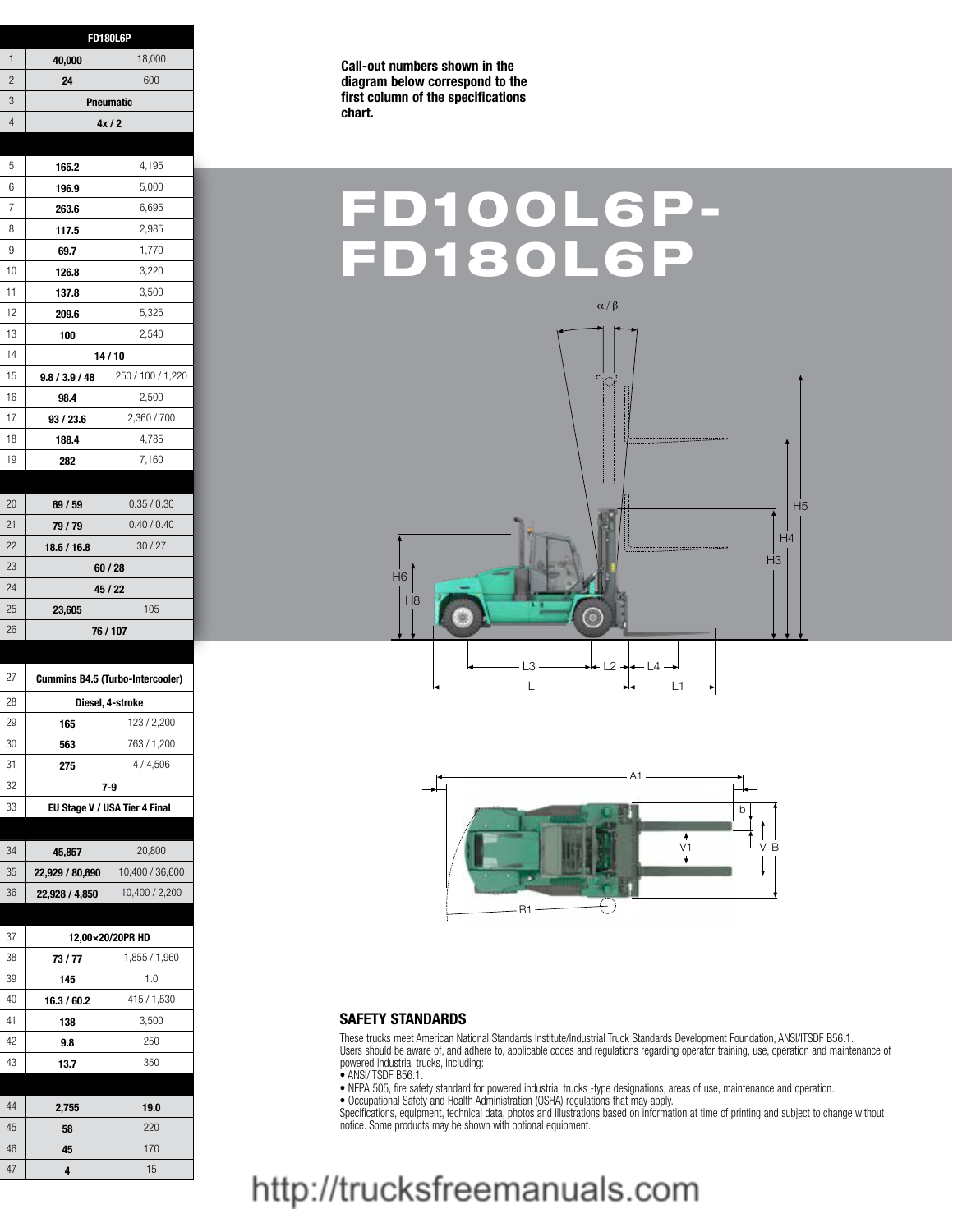| <b>FD180L6P</b>                         |                  |                   |
|-----------------------------------------|------------------|-------------------|
| 40,000                                  |                  | 18,000            |
| 24                                      |                  | 600               |
|                                         | Pneumatic        |                   |
|                                         | 4x/2             |                   |
|                                         |                  |                   |
| 165.2                                   |                  | 4,195             |
| 196.9                                   |                  | 5,000             |
| 263.6                                   |                  | 6,695             |
| 117.5                                   |                  | 2,985             |
| 69.7                                    |                  | 1,770             |
| 126.8                                   |                  | 3,220             |
| 137.8                                   |                  | 3,500             |
| 209.6                                   |                  | 5,325             |
| 100                                     |                  | 2,540             |
|                                         | 14/10            |                   |
| 9.8 / 3.9 / 48                          |                  | 250 / 100 / 1,220 |
| 98.4                                    |                  | 2,500             |
| 93 / 23.6                               |                  | 2,360 / 700       |
| 188.4                                   |                  | 4,785             |
| 282                                     |                  | 7,160             |
|                                         |                  |                   |
| 69 / 59                                 |                  | 0.35 / 0.30       |
| 79/79                                   |                  | 0.40 / 0.40       |
| 18.6 / 16.8                             |                  | 30/27             |
|                                         | 60 / 28          |                   |
|                                         | $45/22$          |                   |
|                                         |                  |                   |
| 23,605                                  |                  | 105               |
|                                         | 76 / 107         |                   |
|                                         |                  |                   |
| <b>Cummins B4.5 (Turbo-Intercooler)</b> |                  |                   |
|                                         |                  |                   |
| 165                                     | Diesel, 4-stroke | 123 / 2,200       |
| 563                                     |                  | 763 / 1,200       |
| 275                                     |                  | 4/4,506           |
| $7-9$                                   |                  |                   |
| EU Stage V / USA Tier 4 Final           |                  |                   |
|                                         |                  |                   |
| 45,857                                  |                  | 20,800            |
| 22,929 / 80,690                         |                  | 10,400 / 36,600   |
| 22,928 / 4,850                          |                  | 10,400 / 2,200    |
|                                         |                  |                   |
| 12,00×20/20PR HD                        |                  |                   |
| 73/77                                   |                  | 1,855 / 1,960     |
| 145                                     |                  | 1.0               |
| 16.3 / 60.2                             |                  | 415 / 1,530       |
| 138                                     |                  | 3,500             |
| $9.8\,$                                 |                  | 250               |
| 13.7                                    |                  | 350               |
|                                         |                  |                   |
| 2,755                                   |                  | $19.0$            |
| ${\bf 58}$                              |                  | 220               |
| 45                                      |                  | 170               |
| $\overline{\mathbf{4}}$                 |                  | $15\,$            |

**Call-out numbers shown in the diagram below correspond to the first column of the specifications chart.**

## FD100L6P-FD180L6





#### **SAFETY STANDARDS**

These trucks meet American National Standards Institute/Industrial Truck Standards Development Foundation, ANSI/ITSDF B56.1. Users should be aware of, and adhere to, applicable codes and regulations regarding operator training, use, operation and maintenance of powered industrial trucks, including:

• ANSI/ITSDF B56.1.

• NFPA 505, fire safety standard for powered industrial trucks -type designations, areas of use, maintenance and operation.

• Occupational Safety and Health Administration (OSHA) regulations that may apply.

Specifications, equipment, technical data, photos and illustrations based on information at time of printing and subject to change without notice. Some products may be shown with optional equipment.

### http://trucksfreemanuals.com